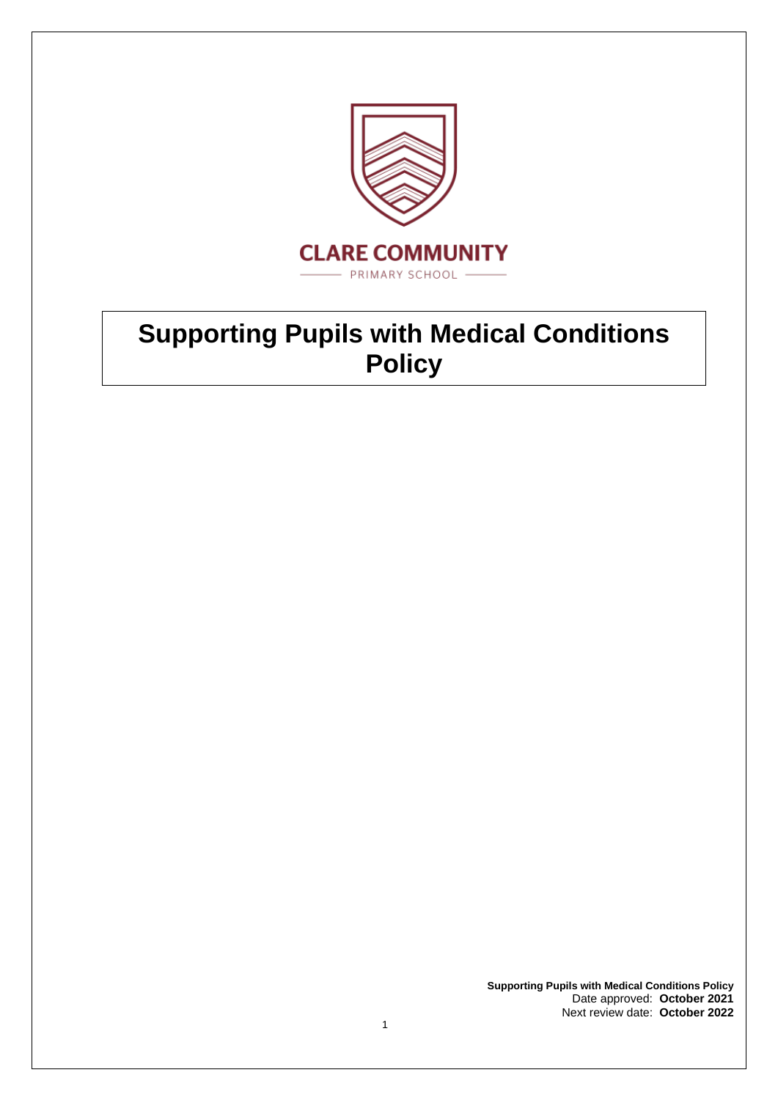

# **Supporting Pupils with Medical Conditions Policy**

**Supporting Pupils with Medical Conditions Policy** Date approved: **October 2021** Next review date: **October 2022**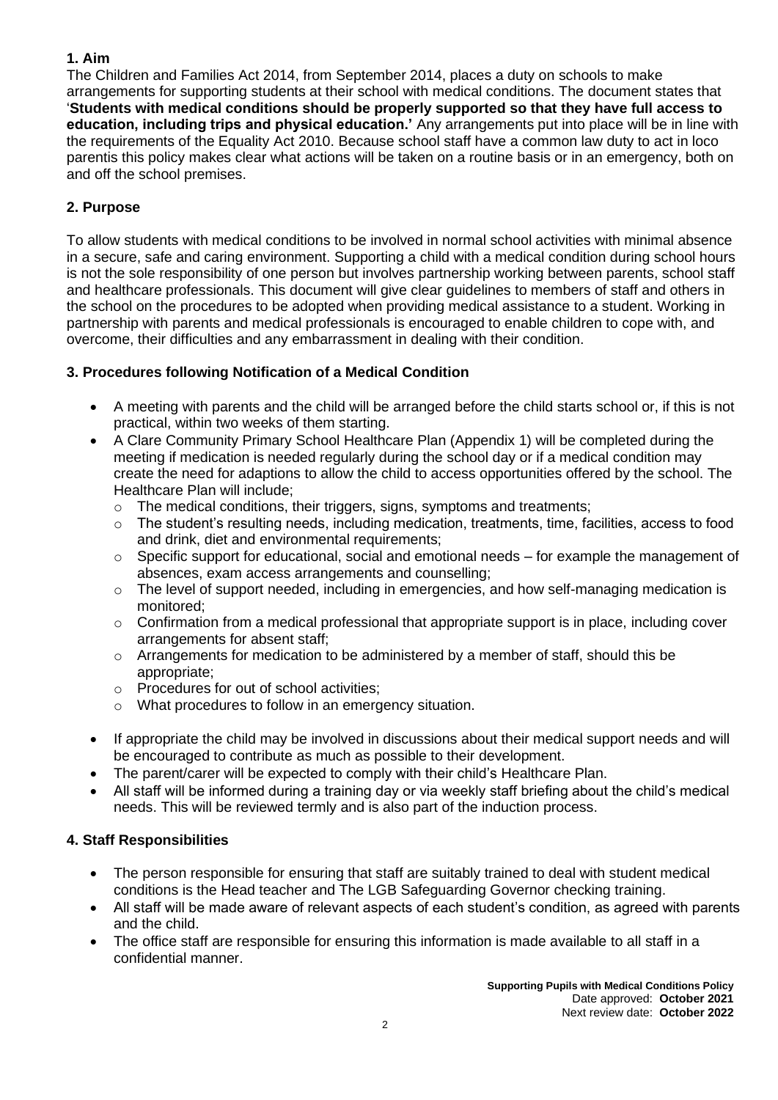#### **1. Aim**

The Children and Families Act 2014, from September 2014, places a duty on schools to make arrangements for supporting students at their school with medical conditions. The document states that '**Students with medical conditions should be properly supported so that they have full access to education, including trips and physical education.'** Any arrangements put into place will be in line with the requirements of the Equality Act 2010. Because school staff have a common law duty to act in loco parentis this policy makes clear what actions will be taken on a routine basis or in an emergency, both on and off the school premises.

## **2. Purpose**

To allow students with medical conditions to be involved in normal school activities with minimal absence in a secure, safe and caring environment. Supporting a child with a medical condition during school hours is not the sole responsibility of one person but involves partnership working between parents, school staff and healthcare professionals. This document will give clear guidelines to members of staff and others in the school on the procedures to be adopted when providing medical assistance to a student. Working in partnership with parents and medical professionals is encouraged to enable children to cope with, and overcome, their difficulties and any embarrassment in dealing with their condition.

## **3. Procedures following Notification of a Medical Condition**

- A meeting with parents and the child will be arranged before the child starts school or, if this is not practical, within two weeks of them starting.
- A Clare Community Primary School Healthcare Plan (Appendix 1) will be completed during the meeting if medication is needed regularly during the school day or if a medical condition may create the need for adaptions to allow the child to access opportunities offered by the school. The Healthcare Plan will include;
	- o The medical conditions, their triggers, signs, symptoms and treatments;
	- $\circ$  The student's resulting needs, including medication, treatments, time, facilities, access to food and drink, diet and environmental requirements;
	- $\circ$  Specific support for educational, social and emotional needs for example the management of absences, exam access arrangements and counselling;
	- $\circ$  The level of support needed, including in emergencies, and how self-managing medication is monitored;
	- $\circ$  Confirmation from a medical professional that appropriate support is in place, including cover arrangements for absent staff;
	- $\circ$  Arrangements for medication to be administered by a member of staff, should this be appropriate;
	- o Procedures for out of school activities;
	- o What procedures to follow in an emergency situation.
- If appropriate the child may be involved in discussions about their medical support needs and will be encouraged to contribute as much as possible to their development.
- The parent/carer will be expected to comply with their child's Healthcare Plan.
- All staff will be informed during a training day or via weekly staff briefing about the child's medical needs. This will be reviewed termly and is also part of the induction process.

#### **4. Staff Responsibilities**

- The person responsible for ensuring that staff are suitably trained to deal with student medical conditions is the Head teacher and The LGB Safeguarding Governor checking training.
- All staff will be made aware of relevant aspects of each student's condition, as agreed with parents and the child.
- The office staff are responsible for ensuring this information is made available to all staff in a confidential manner.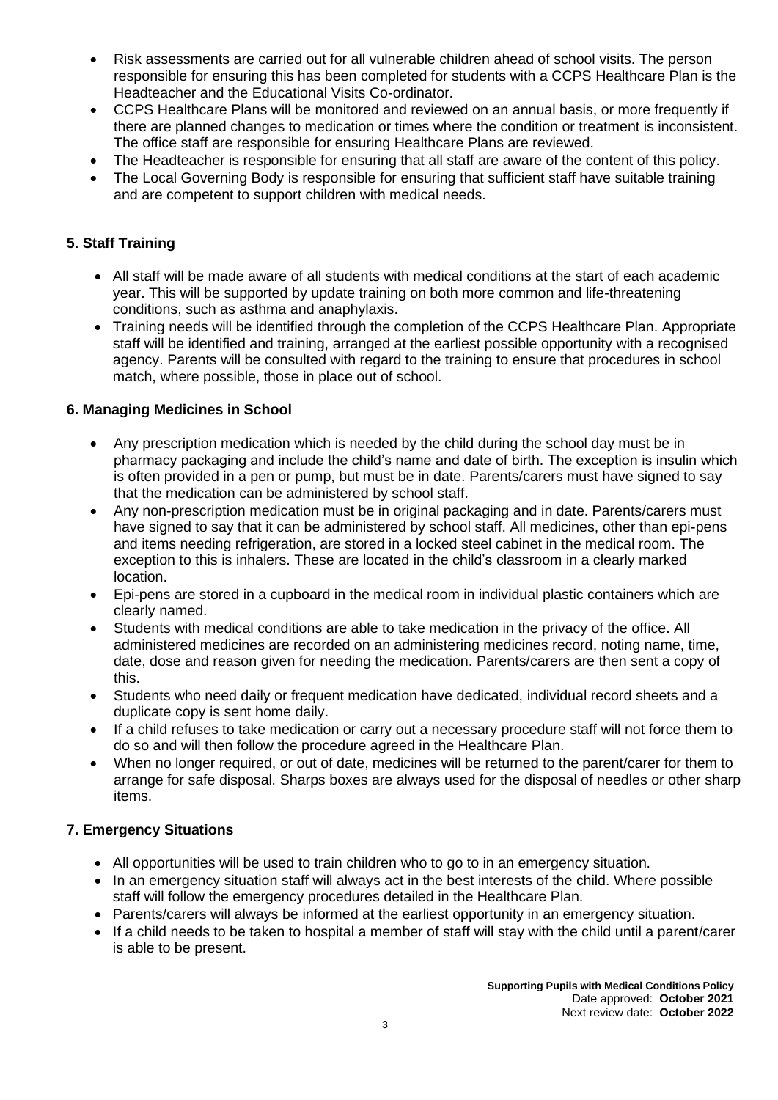- Risk assessments are carried out for all vulnerable children ahead of school visits. The person responsible for ensuring this has been completed for students with a CCPS Healthcare Plan is the Headteacher and the Educational Visits Co-ordinator.
- CCPS Healthcare Plans will be monitored and reviewed on an annual basis, or more frequently if there are planned changes to medication or times where the condition or treatment is inconsistent. The office staff are responsible for ensuring Healthcare Plans are reviewed.
- The Headteacher is responsible for ensuring that all staff are aware of the content of this policy.
- The Local Governing Body is responsible for ensuring that sufficient staff have suitable training and are competent to support children with medical needs.

## **5. Staff Training**

- All staff will be made aware of all students with medical conditions at the start of each academic year. This will be supported by update training on both more common and life-threatening conditions, such as asthma and anaphylaxis.
- Training needs will be identified through the completion of the CCPS Healthcare Plan. Appropriate staff will be identified and training, arranged at the earliest possible opportunity with a recognised agency. Parents will be consulted with regard to the training to ensure that procedures in school match, where possible, those in place out of school.

#### **6. Managing Medicines in School**

- Any prescription medication which is needed by the child during the school day must be in pharmacy packaging and include the child's name and date of birth. The exception is insulin which is often provided in a pen or pump, but must be in date. Parents/carers must have signed to say that the medication can be administered by school staff.
- Any non-prescription medication must be in original packaging and in date. Parents/carers must have signed to say that it can be administered by school staff. All medicines, other than epi-pens and items needing refrigeration, are stored in a locked steel cabinet in the medical room. The exception to this is inhalers. These are located in the child's classroom in a clearly marked location.
- Epi-pens are stored in a cupboard in the medical room in individual plastic containers which are clearly named.
- Students with medical conditions are able to take medication in the privacy of the office. All administered medicines are recorded on an administering medicines record, noting name, time, date, dose and reason given for needing the medication. Parents/carers are then sent a copy of this.
- Students who need daily or frequent medication have dedicated, individual record sheets and a duplicate copy is sent home daily.
- If a child refuses to take medication or carry out a necessary procedure staff will not force them to do so and will then follow the procedure agreed in the Healthcare Plan.
- When no longer required, or out of date, medicines will be returned to the parent/carer for them to arrange for safe disposal. Sharps boxes are always used for the disposal of needles or other sharp items.

#### **7. Emergency Situations**

- All opportunities will be used to train children who to go to in an emergency situation.
- In an emergency situation staff will always act in the best interests of the child. Where possible staff will follow the emergency procedures detailed in the Healthcare Plan.
- Parents/carers will always be informed at the earliest opportunity in an emergency situation.
- If a child needs to be taken to hospital a member of staff will stay with the child until a parent/carer is able to be present.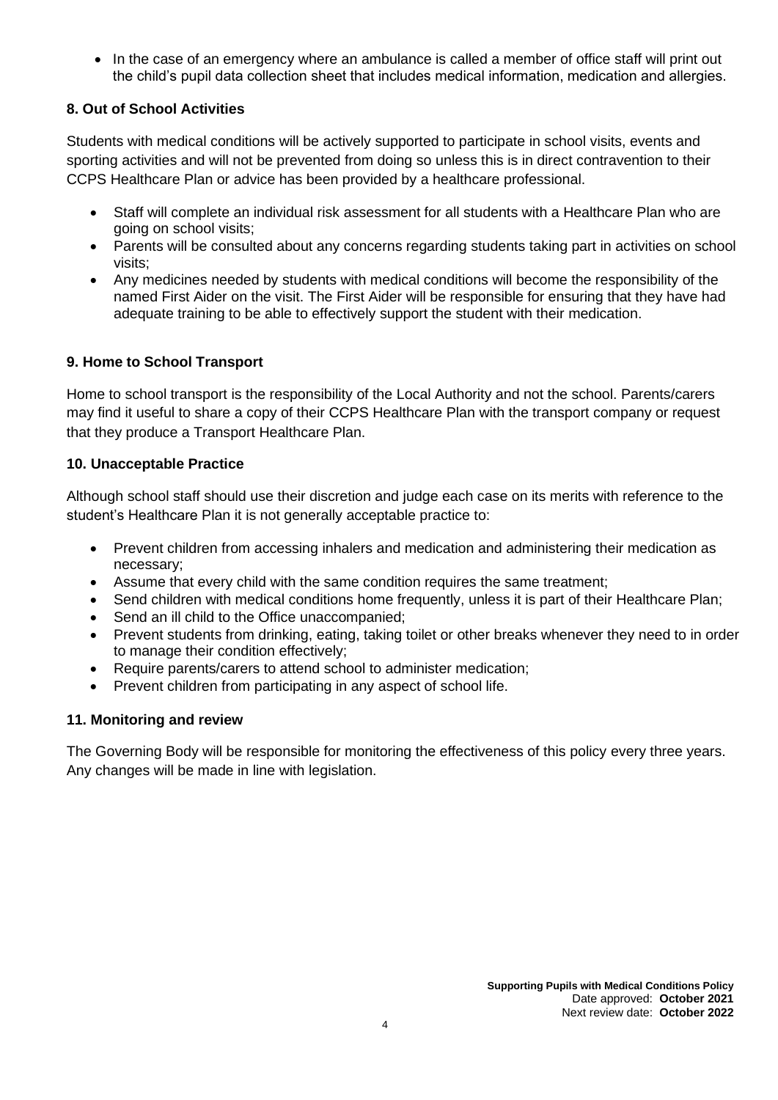• In the case of an emergency where an ambulance is called a member of office staff will print out the child's pupil data collection sheet that includes medical information, medication and allergies.

### **8. Out of School Activities**

Students with medical conditions will be actively supported to participate in school visits, events and sporting activities and will not be prevented from doing so unless this is in direct contravention to their CCPS Healthcare Plan or advice has been provided by a healthcare professional.

- Staff will complete an individual risk assessment for all students with a Healthcare Plan who are going on school visits;
- Parents will be consulted about any concerns regarding students taking part in activities on school visits;
- Any medicines needed by students with medical conditions will become the responsibility of the named First Aider on the visit. The First Aider will be responsible for ensuring that they have had adequate training to be able to effectively support the student with their medication.

#### **9. Home to School Transport**

Home to school transport is the responsibility of the Local Authority and not the school. Parents/carers may find it useful to share a copy of their CCPS Healthcare Plan with the transport company or request that they produce a Transport Healthcare Plan.

#### **10. Unacceptable Practice**

Although school staff should use their discretion and judge each case on its merits with reference to the student's Healthcare Plan it is not generally acceptable practice to:

- Prevent children from accessing inhalers and medication and administering their medication as necessary;
- Assume that every child with the same condition requires the same treatment;
- Send children with medical conditions home frequently, unless it is part of their Healthcare Plan;
- Send an ill child to the Office unaccompanied;
- Prevent students from drinking, eating, taking toilet or other breaks whenever they need to in order to manage their condition effectively;
- Require parents/carers to attend school to administer medication;
- Prevent children from participating in any aspect of school life.

#### **11. Monitoring and review**

The Governing Body will be responsible for monitoring the effectiveness of this policy every three years. Any changes will be made in line with legislation.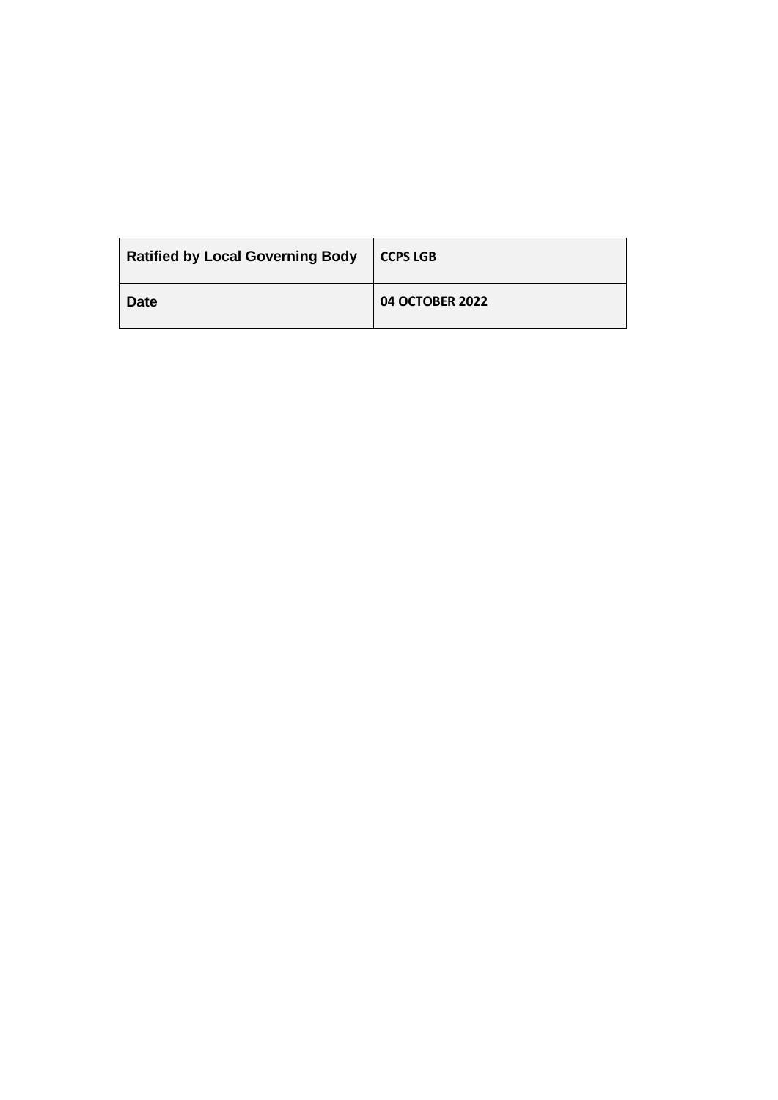| <b>Ratified by Local Governing Body</b> | <b>CCPS LGB</b> |
|-----------------------------------------|-----------------|
| <b>Date</b>                             | 04 OCTOBER 2022 |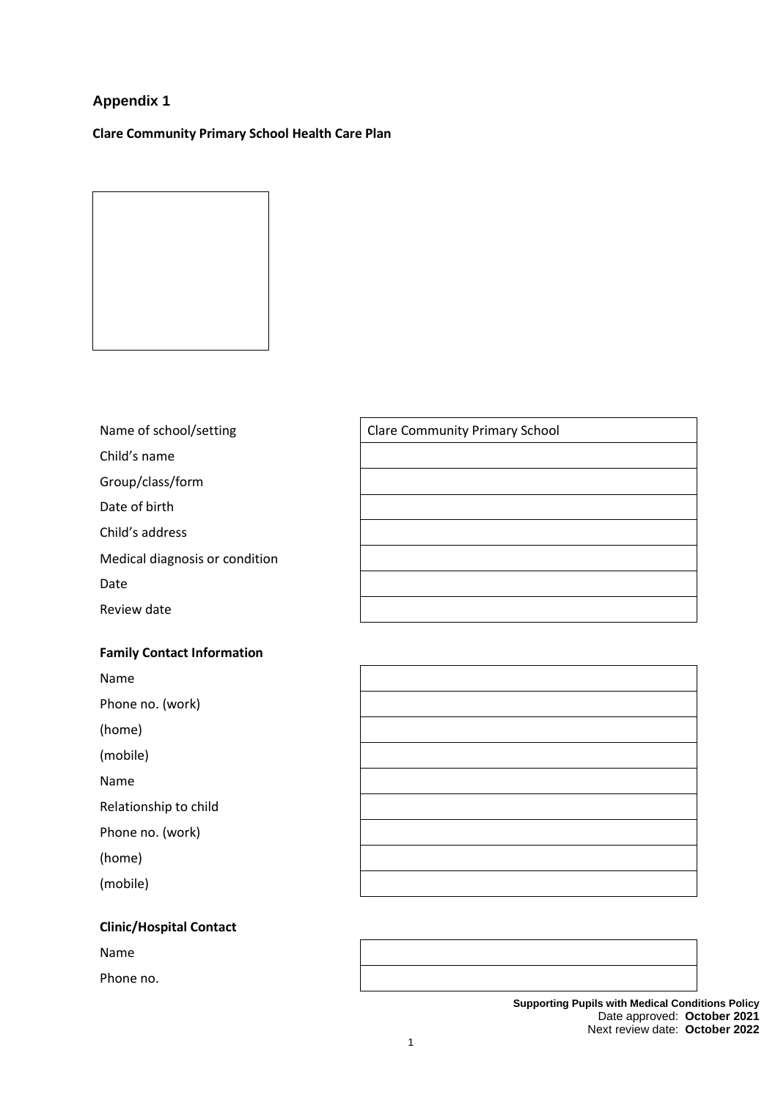## **Appendix 1**

**Clare Community Primary School Health Care Plan**

Name of school/setting

Child's name

Group/class/form

Date of birth

Child's address

Medical diagnosis or condition

Date

Review date

#### **Family Contact Information**

Name

Phone no. (work)

(home)

(mobile)

Name

Relationship to child

Phone no. (work)

(home)

(mobile)

#### **Clinic/Hospital Contact**

Name

Phone no.

| <b>Clare Community Primary School</b> |  |  |
|---------------------------------------|--|--|
|                                       |  |  |
|                                       |  |  |
|                                       |  |  |
|                                       |  |  |
|                                       |  |  |
|                                       |  |  |
|                                       |  |  |

**Supporting Pupils with Medical Conditions Policy** Date approved: **October 2021** Next review date: **October 2022**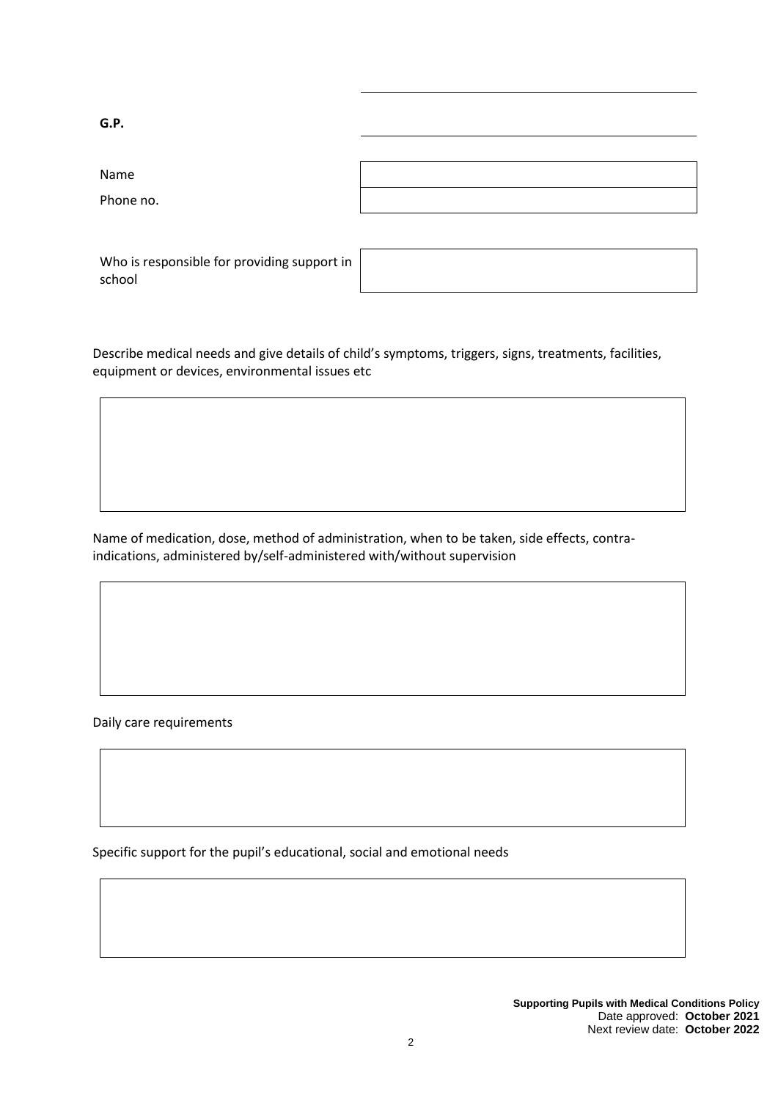| G.P.                                                  |  |
|-------------------------------------------------------|--|
|                                                       |  |
| Name                                                  |  |
| Phone no.                                             |  |
|                                                       |  |
| Who is responsible for providing support in<br>school |  |

Describe medical needs and give details of child's symptoms, triggers, signs, treatments, facilities, equipment or devices, environmental issues etc

Name of medication, dose, method of administration, when to be taken, side effects, contraindications, administered by/self-administered with/without supervision

Daily care requirements

Specific support for the pupil's educational, social and emotional needs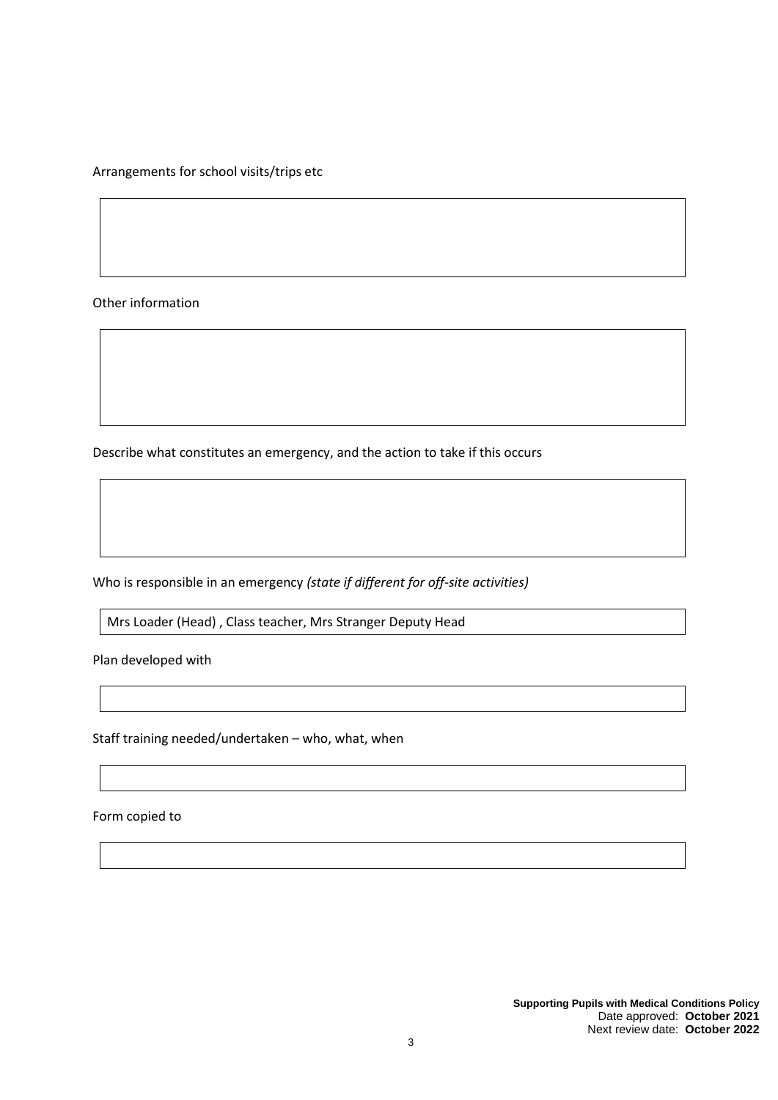Arrangements for school visits/trips etc

Other information

Describe what constitutes an emergency, and the action to take if this occurs

Who is responsible in an emergency *(state if different for off-site activities)*

Mrs Loader (Head) , Class teacher, Mrs Stranger Deputy Head

Plan developed with

Staff training needed/undertaken – who, what, when

Form copied to